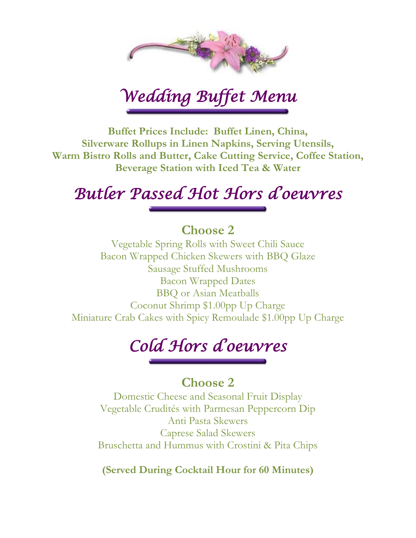

*Wedding Buffet Menu* 

**Buffet Prices Include: Buffet Linen, China, Silverware Rollups in Linen Napkins, Serving Utensils, Warm Bistro Rolls and Butter, Cake Cutting Service, Coffee Station, Beverage Station with Iced Tea & Water**

## *Butler Passed Hot Hors d'oeuvres*

#### **Choose 2**

Vegetable Spring Rolls with Sweet Chili Sauce Bacon Wrapped Chicken Skewers with BBQ Glaze Sausage Stuffed Mushrooms Bacon Wrapped Dates BBQ or Asian Meatballs Coconut Shrimp \$1.00pp Up Charge Miniature Crab Cakes with Spicy Remoulade \$1.00pp Up Charge

# *Cold Hors d'oeuvres*

#### **Choose 2**

Domestic Cheese and Seasonal Fruit Display Vegetable Crudités with Parmesan Peppercorn Dip Anti Pasta Skewers Caprese Salad Skewers Bruschetta and Hummus with Crostini & Pita Chips

**(Served During Cocktail Hour for 60 Minutes)**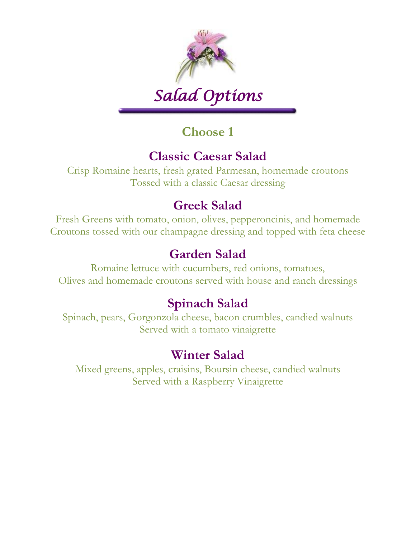

# *Salad Options*

### **Choose 1**

### **Classic Caesar Salad**

Crisp Romaine hearts, fresh grated Parmesan, homemade croutons Tossed with a classic Caesar dressing

#### **Greek Salad**

Fresh Greens with tomato, onion, olives, pepperoncinis, and homemade Croutons tossed with our champagne dressing and topped with feta cheese

### **Garden Salad**

Romaine lettuce with cucumbers, red onions, tomatoes, Olives and homemade croutons served with house and ranch dressings

### **Spinach Salad**

Spinach, pears, Gorgonzola cheese, bacon crumbles, candied walnuts Served with a tomato vinaigrette

#### **Winter Salad**

Mixed greens, apples, craisins, Boursin cheese, candied walnuts Served with a Raspberry Vinaigrette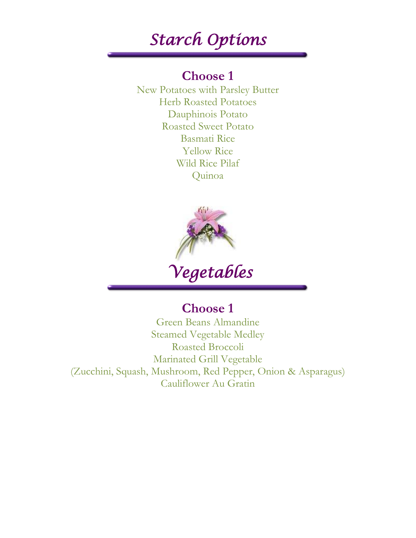## *Starch Options*

#### **Choose 1**

New Potatoes with Parsley Butter Herb Roasted Potatoes Dauphinois Potato Roasted Sweet Potato Basmati Rice Yellow Rice Wild Rice Pilaf Quinoa



 *Vegetables* 

## **Choose 1**

Green Beans Almandine Steamed Vegetable Medley Roasted Broccoli Marinated Grill Vegetable (Zucchini, Squash, Mushroom, Red Pepper, Onion & Asparagus) Cauliflower Au Gratin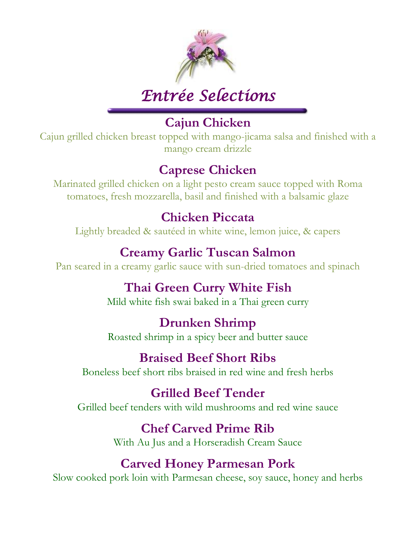

## *Entrée Selections*

### **Cajun Chicken**

Cajun grilled chicken breast topped with mango-jicama salsa and finished with a mango cream drizzle

#### **Caprese Chicken**

Marinated grilled chicken on a light pesto cream sauce topped with Roma tomatoes, fresh mozzarella, basil and finished with a balsamic glaze

#### **Chicken Piccata**

Lightly breaded & sautéed in white wine, lemon juice, & capers

#### **Creamy Garlic Tuscan Salmon**

Pan seared in a creamy garlic sauce with sun-dried tomatoes and spinach

## **Thai Green Curry White Fish**

Mild white fish swai baked in a Thai green curry

#### **Drunken Shrimp**

Roasted shrimp in a spicy beer and butter sauce

#### **Braised Beef Short Ribs**

Boneless beef short ribs braised in red wine and fresh herbs

### **Grilled Beef Tender**

Grilled beef tenders with wild mushrooms and red wine sauce

#### **Chef Carved Prime Rib**

With Au Jus and a Horseradish Cream Sauce

### **Carved Honey Parmesan Pork**

Slow cooked pork loin with Parmesan cheese, soy sauce, honey and herbs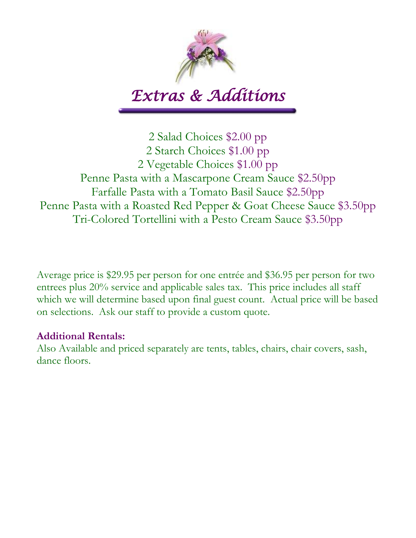

## *Extras & Additions*

2 Salad Choices \$2.00 pp 2 Starch Choices \$1.00 pp 2 Vegetable Choices \$1.00 pp Penne Pasta with a Mascarpone Cream Sauce \$2.50pp Farfalle Pasta with a Tomato Basil Sauce \$2.50pp Penne Pasta with a Roasted Red Pepper & Goat Cheese Sauce \$3.50pp Tri-Colored Tortellini with a Pesto Cream Sauce \$3.50pp

Average price is \$29.95 per person for one entrée and \$36.95 per person for two entrees plus 20% service and applicable sales tax. This price includes all staff which we will determine based upon final guest count. Actual price will be based on selections. Ask our staff to provide a custom quote.

#### **Additional Rentals:**

Also Available and priced separately are tents, tables, chairs, chair covers, sash, dance floors.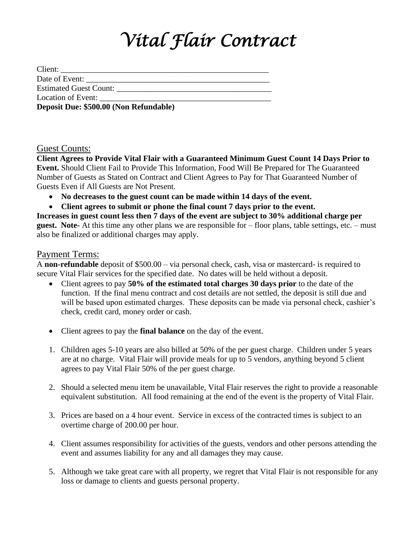# *Vital Flair Contract*

| Date of Event:                         |
|----------------------------------------|
| Estimated Guest Count:                 |
| Location of Event:                     |
| Deposit Due: \$500.00 (Non Refundable) |

#### Guest Counts:

**Client Agrees to Provide Vital Flair with a Guaranteed Minimum Guest Count 14 Days Prior to Event.** Should Client Fail to Provide This Information, Food Will Be Prepared for The Guaranteed Number of Guests as Stated on Contract and Client Agrees to Pay for That Guaranteed Number of Guests Even if All Guests are Not Present.

- **No decreases to the guest count can be made within 14 days of the event.**
- **Client agrees to submit or phone the final count 7 days prior to the event.**

**Increases in guest count less then 7 days of the event are subject to 30% additional charge per guest. Note-** At this time any other plans we are responsible for – floor plans, table settings, etc. – must also be finalized or additional charges may apply.

#### Payment Terms:

A **non-refundable** deposit of \$500.00 – via personal check, cash, visa or mastercard- is required to secure Vital Flair services for the specified date. No dates will be held without a deposit.

- Client agrees to pay **50% of the estimated total charges 30 days prior** to the date of the function. If the final menu contract and cost details are not settled, the deposit is still due and will be based upon estimated charges. These deposits can be made via personal check, cashier's check, credit card, money order or cash.
- Client agrees to pay the **final balance** on the day of the event.
- 1. Children ages 5-10 years are also billed at 50% of the per guest charge. Children under 5 years are at no charge. Vital Flair will provide meals for up to 5 vendors, anything beyond 5 client agrees to pay Vital Flair 50% of the per guest charge.
- 2. Should a selected menu item be unavailable, Vital Flair reserves the right to provide a reasonable equivalent substitution. All food remaining at the end of the event is the property of Vital Flair.
- 3. Prices are based on a 4 hour event. Service in excess of the contracted times is subject to an overtime charge of 200.00 per hour.
- 4. Client assumes responsibility for activities of the guests, vendors and other persons attending the event and assumes liability for any and all damages they may cause.
- 5. Although we take great care with all property, we regret that Vital Flair is not responsible for any loss or damage to clients and guests personal property.